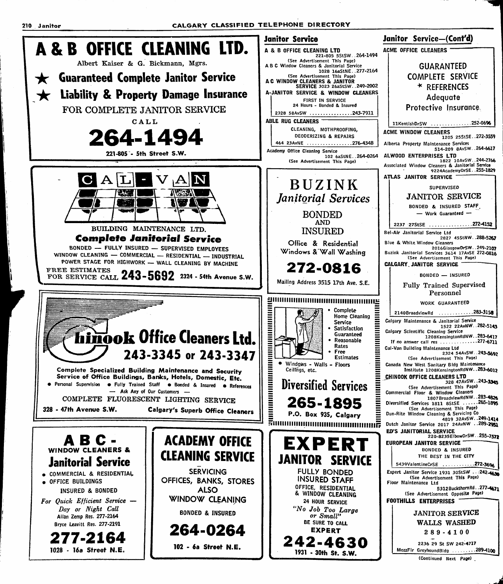210 Janitor CALGARY CLASSIFIED TELEPHONE DIRECTORY

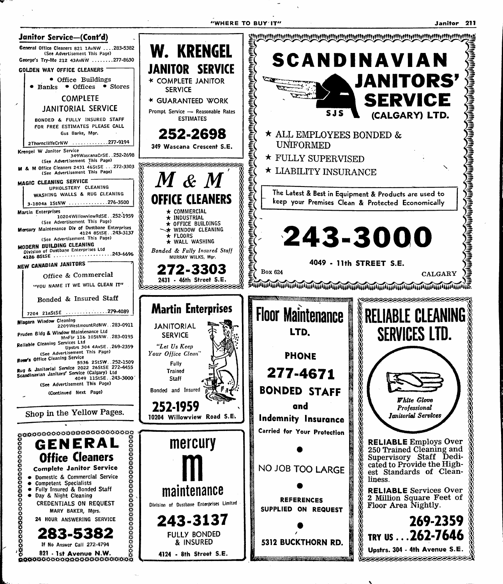"WHERE TO BUY'IT"

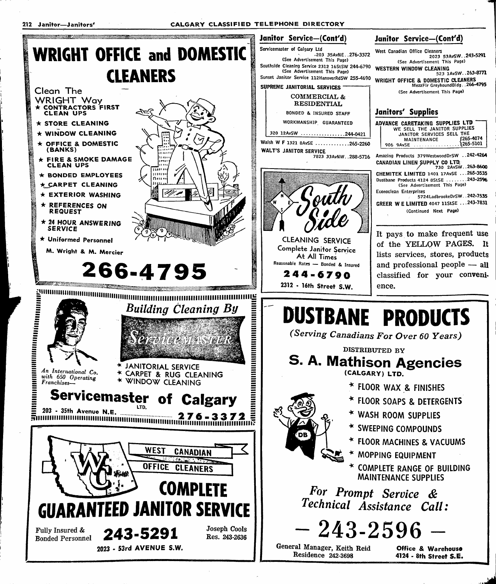

ب<br>أمار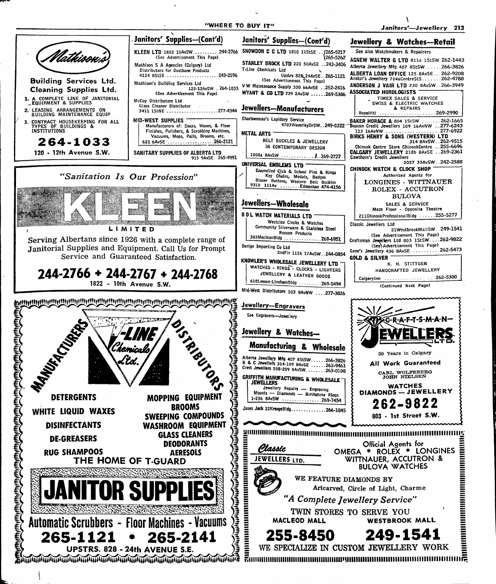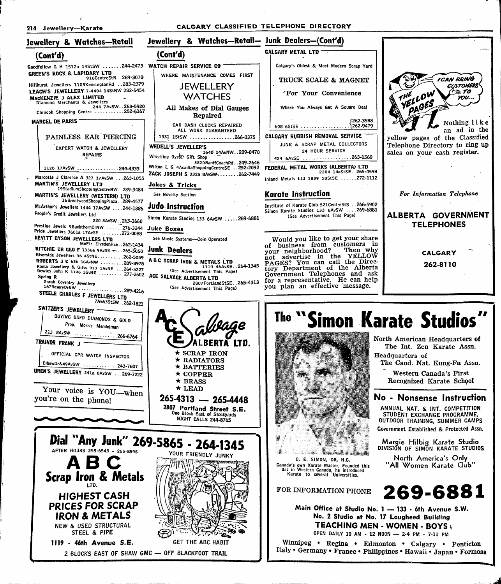ļ.

ŀ.

 $\epsilon$ 

# 214 Jewellery—Karate CALGARY CLASSIFIED TELEPHONE DIRECTORY

| Jewellery & Watches—Retail                                                                                                | Jewellery & Watches-Retail- Junk Dealers-(Cont'd)                                     |                                                                                                                                                  |                                                                                       |
|---------------------------------------------------------------------------------------------------------------------------|---------------------------------------------------------------------------------------|--------------------------------------------------------------------------------------------------------------------------------------------------|---------------------------------------------------------------------------------------|
| (Cont'd)                                                                                                                  | (Cont'd)                                                                              | CALGARY METAL LTD                                                                                                                                |                                                                                       |
| Goodfellow G H 1512a 14StSW 244-2473 WATCH REPAIR SERVICE CO<br>GREEN'S ROCK & LAPIDARY LTD                               | WHERE MAINTENANCE COMES FIRST                                                         | Calgary's Oldest & Most Modern Scrap Yard                                                                                                        |                                                                                       |
| 916CentreStN269-3070<br>Hillhurst Jewellers 1103KensingtonRd  283-2379<br>LEACH'S JEWELLERY 7-4404 14StNW 282-5454        | JEWELLERY                                                                             | TRUCK SCALE & MAGNET<br>'For Your Convenience                                                                                                    | <b>ICAN BRING</b><br><b>CUSTOMERS</b><br>$T \geqslant T$ 0                            |
| MACKENZIE J ALEX LIMITED<br>Diamond Merchants & Jewellers<br>244 7AvSW. . 263-5920                                        | <b>WATCHES</b><br>All Makes of Dial Gauges                                            | Where You Always Get A Square Deal                                                                                                               | YELLOW<br>THE<br>YOU<br>PAGES                                                         |
| Chinook Shopping Centre 252-6167<br><b>MARCEL DE PARIS</b>                                                                | Repaired                                                                              | (262-3588                                                                                                                                        | Nothing like                                                                          |
|                                                                                                                           | CAR DASH CLOCKS REPAIRED<br>ALL WORK GUARANTEED                                       | CALGARY RUBBISH REMOVAL SERVICE                                                                                                                  | an ad in the                                                                          |
| PAINLESS EAR PIERCING<br><b>EXPERT WATCH &amp; JEWELLERY</b>                                                              | 1331 1StSW 266-3375<br>WEDELL'S JEWELLER'S                                            | JUNK & SCRAP METAL COLLECTORS<br>24 HOUR SERVICE                                                                                                 | yellow pages of the Classified<br>Telephone Directory to ring up                      |
| <b>REPAIRS</b>                                                                                                            | 1640 14AvNW. . 289-0470<br>Whistling Oyster Gift Shop<br>3820BanffCoachRd. . 249-2646 | 424 6AvSE 263-1560                                                                                                                               | sales on your cash register.                                                          |
| 1126 17AvSW 244-4333<br>Marcotte J Clarence A 327 17AvSW 263-1055                                                         | Wilton L G 4AcadiaShoppingCentreSE 252-2092<br>ZACK JOSEPH S 332a 8AvSW262-7449       | FEDERAL METAL WORKS (ALBERTA) LTD<br>2204 14aStSE265-4598<br>Inland Metals Ltd 1839 58StSE 272-1112                                              |                                                                                       |
| <b>MARTIN'S JEWELLERY LTD.</b><br>19StadiumShoppingCentreNW. 289-3484                                                     | Jokes & Tricks                                                                        |                                                                                                                                                  |                                                                                       |
| MARTIN'S JEWELLERY (WESTERN) LTD<br>16BrentwoodShoppingPlaza. 289-4577                                                    | See Novelty Section                                                                   | <b>Karate Instruction</b><br>Institute of Karate Club 521CentreStS 266-5902                                                                      | For Information Telephone                                                             |
| McArthur's Jewellers 1444 17AvSW 244-1886<br>People's Credit Jewellers Ltd<br>220 8AvSW. . 263-1660                       | Judo Instruction<br>Simon Karate Studios 133 6AvSW  269-6881                          | Simon Karate Studios 133 6AvSW 269-6881<br>(See Advertisement This Page)                                                                         | ALBERTA GOVERNMENT                                                                    |
| Prestige Jewels 9BuckthornCrNW 276-3244<br>Pride Jewellers 3601a 17AvSE 272-0088                                          | <b>Juke Boxes</b>                                                                     |                                                                                                                                                  | <b>TELEPHONES</b>                                                                     |
| REVITT DYSON JEWELLERS LTD.<br>MnFir EivedenHse. 262-1434<br>RITCHIE DR GEO F 1336a 9AvSE -: 265-5050                     | See Music Systems-Coin Operated<br><b>Junk Dealers</b>                                | Would you like to get your share<br>of business from customers in<br>your neighborhood? Then why                                                 |                                                                                       |
| Riverside Jewellers 36 4StNE262-5059<br>ROBERTS J C 636 16AvNW 289-8978                                                   | A B C SCRAP IRON & METALS LTD<br>1119 46AvSE264-1345                                  | not advertise in the YELLOW<br>PAGES? You can call the Direc-                                                                                    | <b>CALGARY</b><br>262-8110                                                            |
| Roma Jewellery & Gifts 913 1AvNE 264-5227<br>Rowles John K 1106 3StNE 277-2602<br>Spring R                                | (See Advertisement This Page)<br>ACE SALVAGE ALBERTA LTD                              | tory Department of the Alberta<br>Government Telephones and ask<br>for a representative. He can help                                             |                                                                                       |
| Sarah Coventry Jewellery<br>167RoseryDrNW 289-4216<br>STEELE CHARLES F JEWELLERS LTD                                      | 2807PortlandStSE265-4313<br>(See Advertisement This Page)                             | you plan an effective message.                                                                                                                   |                                                                                       |
| 7Av&3StSW262-1821<br>SWITZER'S JEWELLERY -<br>BUYING USED DIAMONDS & GOLD<br>Prop. Morris Mendelman<br>213 8AvSW 266-6764 |                                                                                       | The "Simon Karate Studios"                                                                                                                       |                                                                                       |
| TRAINOR FRANK J -<br>OFFICIAL CPR WATCH INSPECTOR                                                                         | <b>ERTA LTD.</b><br>$\star$ SCRAP IRON                                                |                                                                                                                                                  | North American Headquarters of<br>The Int. Zen Karate Assn.<br><b>Headquarters of</b> |
| ElbowDr&49AvSW 243-7607<br>UREN'S JEWELLERY 241a 8AvSW 269-7222                                                           | * RADIATORS<br>* BATTERIES<br>$\star$ COPPER                                          |                                                                                                                                                  | The Cand. Nat. Kung-Fu Assn.<br>Western Canada's First                                |
| Your voice is YOU-when                                                                                                    | $\star$ BRASS<br>$\star$ LEAD                                                         |                                                                                                                                                  | Recognized Karate School                                                              |
| you're on the phone!                                                                                                      | 265-4313 - 265-4448<br>2807 Portland Street S.E.                                      |                                                                                                                                                  | No - Nonsense Instruction<br>ANNUAL NAT. & INT. COMPETITION                           |
|                                                                                                                           | One Block East of Stockyards<br>NIGHT CALLS 244-8765                                  |                                                                                                                                                  | STUDENT EXCHANGE PROGRAMME,<br>OUTDOOR TRAINING, SUMMER CAMPS                         |
|                                                                                                                           | Dial "Any Junk" 269-5865 - 264-1345                                                   |                                                                                                                                                  | Government Established & Protected Assn.<br>Margie Hilbig Karate Studio               |
| AFTER HOURS 255-6543 - 255-8595                                                                                           | YOUR FRIENDLY JUNKY                                                                   | O. E. SIMON, DR. H.C.                                                                                                                            | DIVISION OF SIMON KARATE STUDIOS<br>North America's Only                              |
| ABC<br><b>Scrap Iron &amp; Metals</b>                                                                                     |                                                                                       | Canada's own Karate Master, Founded this<br>art in Western Canada, he introduced<br>Karate to several Universities.                              | "All Women Karate Club"                                                               |
| <b>HIGHEST CASH</b>                                                                                                       |                                                                                       | FOR INFORMATION PHONE                                                                                                                            | 269-6881                                                                              |
| <b>PRICES FOR SCRAP</b><br><b>IRON &amp; METALS</b><br>NEW & USED STRUCTURAL<br>STEEL & PIPE                              |                                                                                       | Main Office at Studio No. 1 - 133 - 6th Avenue S.W.<br>No. 2 Studio at No. 17 Lougheed Building<br>OPEN DAILY 10 AM - 12 NOON - 2-4 PM - 7-11 PM | <b>TEACHING MEN - WOMEN - BOYS,</b>                                                   |
| 1119 - 46th Avenue S.E.                                                                                                   | GET THE ABC HABIT<br>2 BLOCKS FAST OF SHAW GMC - OFF BLACKFOOT TRAIL                  | Winnipeg • Regina • Edmonton • Calgary • Penticton<br>Italy • Germany • France • Philippines • Hawaii • Japan • Formosa                          |                                                                                       |

2 BLOCKS EAST OF SHAW CMC — OFF BLACKFOOT TRAIL